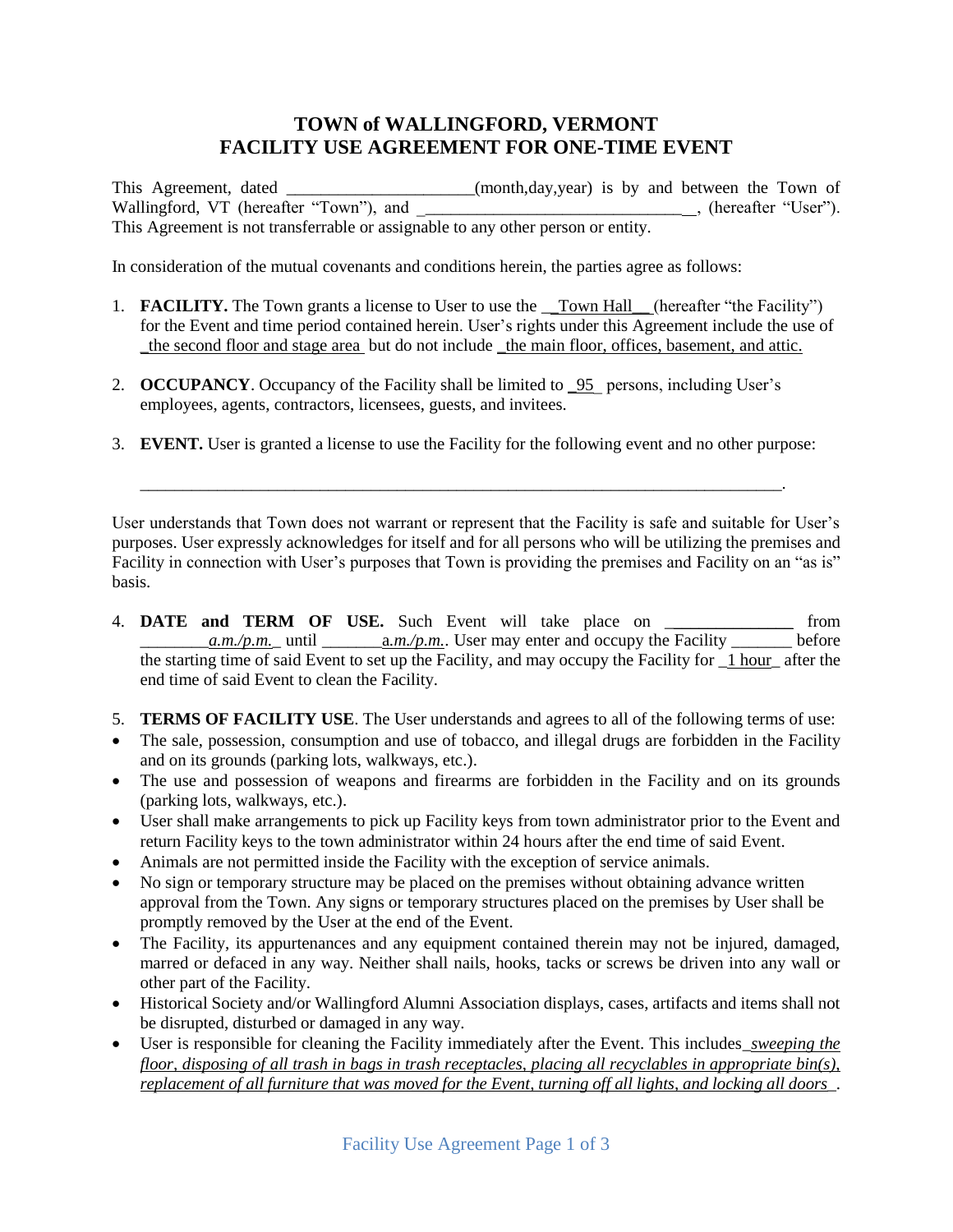## **TOWN of WALLINGFORD, VERMONT FACILITY USE AGREEMENT FOR ONE-TIME EVENT**

This Agreement, dated  $(month,day,year)$  is by and between the Town of Wallingford, VT (hereafter "Town"), and <br>
(hereafter "User"). This Agreement is not transferrable or assignable to any other person or entity.

In consideration of the mutual covenants and conditions herein, the parties agree as follows:

- 1. **FACILITY.** The Town grants a license to User to use the <u>Town Hall (hereafter</u> "the Facility") for the Event and time period contained herein. User's rights under this Agreement include the use of \_the second floor and stage area but do not include \_the main floor, offices, basement, and attic.
- 2. **OCCUPANCY**. Occupancy of the Facility shall be limited to **95** persons, including User's employees, agents, contractors, licensees, guests, and invitees.
- 3. **EVENT.** User is granted a license to use the Facility for the following event and no other purpose:

\_\_\_\_\_\_\_\_\_\_\_\_\_\_\_\_\_\_\_\_\_\_\_\_\_\_\_\_\_\_\_\_\_\_\_\_\_\_\_\_\_\_\_\_\_\_\_\_\_\_\_\_\_\_\_\_\_\_\_\_\_\_\_\_\_\_\_\_\_\_\_\_\_\_\_.

User understands that Town does not warrant or represent that the Facility is safe and suitable for User's purposes. User expressly acknowledges for itself and for all persons who will be utilizing the premises and Facility in connection with User's purposes that Town is providing the premises and Facility on an "as is" basis.

- 4. **DATE and TERM OF USE.** Such Event will take place on \_\_\_\_\_\_\_\_\_\_\_\_\_\_\_ from  $\frac{a.m}{p.m.}$  until  $\frac{a.m}{p.m.}$  User may enter and occupy the Facility  $\frac{a.m}{p.m.}$  before the starting time of said Event to set up the Facility, and may occupy the Facility for \_1 hour\_ after the end time of said Event to clean the Facility.
- 5. **TERMS OF FACILITY USE**. The User understands and agrees to all of the following terms of use:
- The sale, possession, consumption and use of tobacco, and illegal drugs are forbidden in the Facility and on its grounds (parking lots, walkways, etc.).
- The use and possession of weapons and firearms are forbidden in the Facility and on its grounds (parking lots, walkways, etc.).
- User shall make arrangements to pick up Facility keys from town administrator prior to the Event and return Facility keys to the town administrator within 24 hours after the end time of said Event.
- Animals are not permitted inside the Facility with the exception of service animals.
- No sign or temporary structure may be placed on the premises without obtaining advance written approval from the Town. Any signs or temporary structures placed on the premises by User shall be promptly removed by the User at the end of the Event.
- The Facility, its appurtenances and any equipment contained therein may not be injured, damaged, marred or defaced in any way. Neither shall nails, hooks, tacks or screws be driven into any wall or other part of the Facility.
- Historical Society and/or Wallingford Alumni Association displays, cases, artifacts and items shall not be disrupted, disturbed or damaged in any way.
- User is responsible for cleaning the Facility immediately after the Event. This includes\_*sweeping the floor, disposing of all trash in bags in trash receptacles, placing all recyclables in appropriate bin(s), replacement of all furniture that was moved for the Event, turning off all lights, and locking all doors*\_.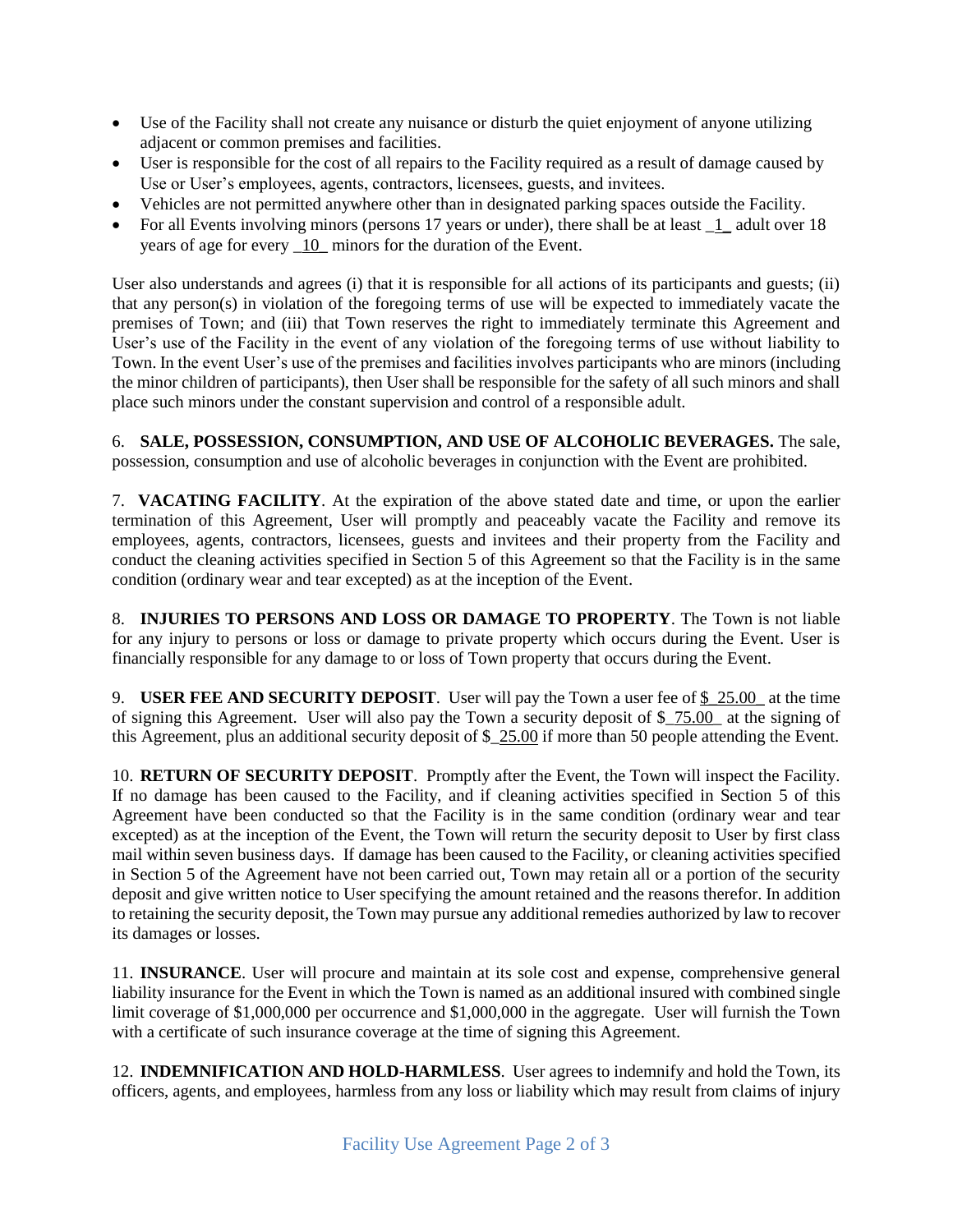- Use of the Facility shall not create any nuisance or disturb the quiet enjoyment of anyone utilizing adjacent or common premises and facilities.
- User is responsible for the cost of all repairs to the Facility required as a result of damage caused by Use or User's employees, agents, contractors, licensees, guests, and invitees.
- Vehicles are not permitted anywhere other than in designated parking spaces outside the Facility.
- For all Events involving minors (persons 17 years or under), there shall be at least  $\frac{1}{1}$  adult over 18 years of age for every \_10\_ minors for the duration of the Event.

User also understands and agrees (i) that it is responsible for all actions of its participants and guests; (ii) that any person(s) in violation of the foregoing terms of use will be expected to immediately vacate the premises of Town; and (iii) that Town reserves the right to immediately terminate this Agreement and User's use of the Facility in the event of any violation of the foregoing terms of use without liability to Town. In the event User's use of the premises and facilities involves participants who are minors (including the minor children of participants), then User shall be responsible for the safety of all such minors and shall place such minors under the constant supervision and control of a responsible adult.

6. **SALE, POSSESSION, CONSUMPTION, AND USE OF ALCOHOLIC BEVERAGES.** The sale, possession, consumption and use of alcoholic beverages in conjunction with the Event are prohibited.

7. **VACATING FACILITY**. At the expiration of the above stated date and time, or upon the earlier termination of this Agreement, User will promptly and peaceably vacate the Facility and remove its employees, agents, contractors, licensees, guests and invitees and their property from the Facility and conduct the cleaning activities specified in Section 5 of this Agreement so that the Facility is in the same condition (ordinary wear and tear excepted) as at the inception of the Event.

8. **INJURIES TO PERSONS AND LOSS OR DAMAGE TO PROPERTY**. The Town is not liable for any injury to persons or loss or damage to private property which occurs during the Event. User is financially responsible for any damage to or loss of Town property that occurs during the Event.

9. **USER FEE AND SECURITY DEPOSIT**. User will pay the Town a user fee of \$\_25.00\_ at the time of signing this Agreement. User will also pay the Town a security deposit of \$\_75.00\_ at the signing of this Agreement, plus an additional security deposit of \$\_25.00 if more than 50 people attending the Event.

10. **RETURN OF SECURITY DEPOSIT**. Promptly after the Event, the Town will inspect the Facility. If no damage has been caused to the Facility, and if cleaning activities specified in Section 5 of this Agreement have been conducted so that the Facility is in the same condition (ordinary wear and tear excepted) as at the inception of the Event, the Town will return the security deposit to User by first class mail within seven business days. If damage has been caused to the Facility, or cleaning activities specified in Section 5 of the Agreement have not been carried out, Town may retain all or a portion of the security deposit and give written notice to User specifying the amount retained and the reasons therefor. In addition to retaining the security deposit, the Town may pursue any additional remedies authorized by law to recover its damages or losses.

11. **INSURANCE**. User will procure and maintain at its sole cost and expense, comprehensive general liability insurance for the Event in which the Town is named as an additional insured with combined single limit coverage of \$1,000,000 per occurrence and \$1,000,000 in the aggregate. User will furnish the Town with a certificate of such insurance coverage at the time of signing this Agreement.

12. **INDEMNIFICATION AND HOLD-HARMLESS**. User agrees to indemnify and hold the Town, its officers, agents, and employees, harmless from any loss or liability which may result from claims of injury